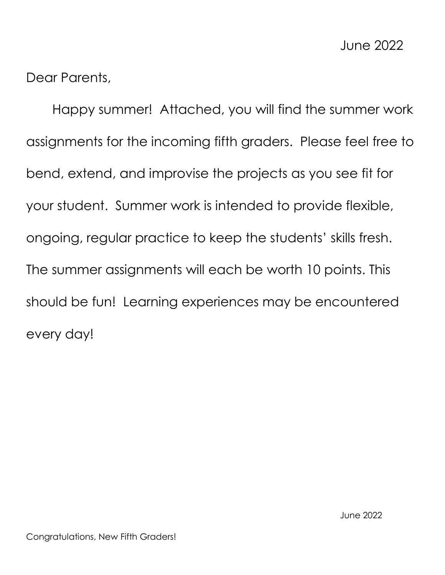Dear Parents,

Happy summer! Attached, you will find the summer work assignments for the incoming fifth graders. Please feel free to bend, extend, and improvise the projects as you see fit for your student. Summer work is intended to provide flexible, ongoing, regular practice to keep the students' skills fresh. The summer assignments will each be worth 10 points. This should be fun! Learning experiences may be encountered every day!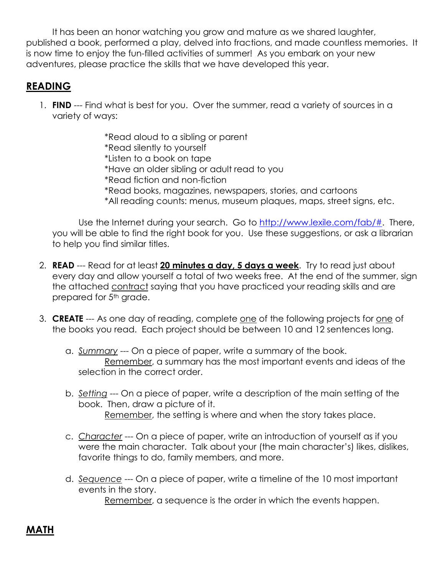It has been an honor watching you grow and mature as we shared laughter, published a book, performed a play, delved into fractions, and made countless memories. It is now time to enjoy the fun-filled activities of summer! As you embark on your new adventures, please practice the skills that we have developed this year.

## **READING**

1. **FIND** --- Find what is best for you. Over the summer, read a variety of sources in a variety of ways:

> \*Read aloud to a sibling or parent \*Read silently to yourself \*Listen to a book on tape \*Have an older sibling or adult read to you \*Read fiction and non-fiction \*Read books, magazines, newspapers, stories, and cartoons \*All reading counts: menus, museum plaques, maps, street signs, etc.

Use the Internet during your search. Go to [http://www.lexile.com/fab/#.](http://www.lexile.com/fab/) There, you will be able to find the right book for you. Use these suggestions, or ask a librarian to help you find similar titles.

- 2. **READ** --- Read for at least **20 minutes a day, 5 days a week**. Try to read just about every day and allow yourself a total of two weeks free. At the end of the summer, sign the attached contract saying that you have practiced your reading skills and are prepared for 5<sup>th</sup> grade.
- 3. **CREATE** --- As one day of reading, complete one of the following projects for one of the books you read. Each project should be between 10 and 12 sentences long.
	- a. *Summary* --- On a piece of paper, write a summary of the book. Remember, a summary has the most important events and ideas of the selection in the correct order.
	- b. *Setting* --- On a piece of paper, write a description of the main setting of the book. Then, draw a picture of it. Remember, the setting is where and when the story takes place.
	- c. *Character* --- On a piece of paper, write an introduction of yourself as if you were the main character. Talk about your (the main character's) likes, dislikes, favorite things to do, family members, and more.
	- d. *Sequence* --- On a piece of paper, write a timeline of the 10 most important events in the story.

Remember, a sequence is the order in which the events happen.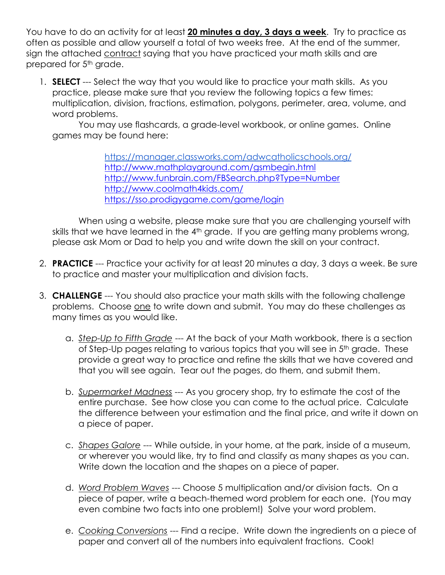You have to do an activity for at least **20 minutes a day, 3 days a week**. Try to practice as often as possible and allow yourself a total of two weeks free. At the end of the summer, sign the attached contract saying that you have practiced your math skills and are prepared for 5<sup>th</sup> grade.

1. **SELECT** --- Select the way that you would like to practice your math skills. As you practice, please make sure that you review the following topics a few times: multiplication, division, fractions, estimation, polygons, perimeter, area, volume, and word problems.

You may use flashcards, a grade-level workbook, or online games. Online games may be found here:

> <https://manager.classworks.com/adwcatholicschools.org/> <http://www.mathplayground.com/gsmbegin.html> <http://www.funbrain.com/FBSearch.php?Type=Number> <http://www.coolmath4kids.com/> <https://sso.prodigygame.com/game/login>

When using a website, please make sure that you are challenging yourself with skills that we have learned in the 4<sup>th</sup> grade. If you are getting many problems wrong, please ask Mom or Dad to help you and write down the skill on your contract.

- 2. **PRACTICE** --- Practice your activity for at least 20 minutes a day, 3 days a week. Be sure to practice and master your multiplication and division facts.
- 3. **CHALLENGE** --- You should also practice your math skills with the following challenge problems. Choose one to write down and submit. You may do these challenges as many times as you would like.
	- a. *Step-Up to Fifth Grade* --- At the back of your Math workbook, there is a section of Step-Up pages relating to various topics that you will see in 5<sup>th</sup> grade. These provide a great way to practice and refine the skills that we have covered and that you will see again. Tear out the pages, do them, and submit them.
	- b. *Supermarket Madness* --- As you grocery shop, try to estimate the cost of the entire purchase. See how close you can come to the actual price. Calculate the difference between your estimation and the final price, and write it down on a piece of paper.
	- c. *Shapes Galore* --- While outside, in your home, at the park, inside of a museum, or wherever you would like, try to find and classify as many shapes as you can. Write down the location and the shapes on a piece of paper.
	- d. *Word Problem Waves* --- Choose 5 multiplication and/or division facts. On a piece of paper, write a beach-themed word problem for each one. (You may even combine two facts into one problem!) Solve your word problem.
	- e. *Cooking Conversions* --- Find a recipe. Write down the ingredients on a piece of paper and convert all of the numbers into equivalent fractions. Cook!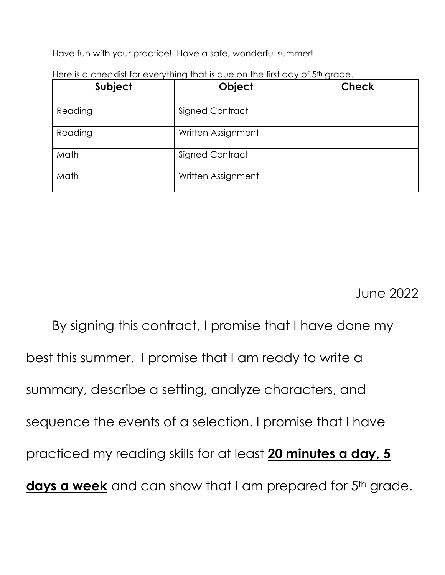Have fun with your practice! Have a safe, wonderful summer!

| Subject | Object                 | <b>Check</b> |
|---------|------------------------|--------------|
| Reading | Signed Contract        |              |
| Reading | Written Assignment     |              |
| Math    | <b>Signed Contract</b> |              |
| Math    | Written Assignment     |              |

Here is a checklist for everything that is due on the first day of 5<sup>th</sup> grade.

June 2022

By signing this contract, I promise that I have done my best this summer. I promise that I am ready to write a summary, describe a setting, analyze characters, and sequence the events of a selection. I promise that I have practiced my reading skills for at least **20 minutes a day, 5**  days a week and can show that I am prepared for 5<sup>th</sup> grade.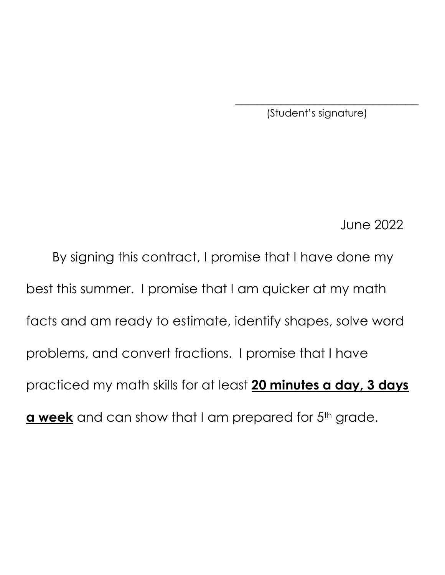(Student's signature)

 $\overline{\phantom{a}}$  , where  $\overline{\phantom{a}}$  , where  $\overline{\phantom{a}}$  , where  $\overline{\phantom{a}}$ 

June 2022

By signing this contract, I promise that I have done my best this summer. I promise that I am quicker at my math facts and am ready to estimate, identify shapes, solve word problems, and convert fractions. I promise that I have practiced my math skills for at least **20 minutes a day, 3 days a week** and can show that I am prepared for 5<sup>th</sup> grade.